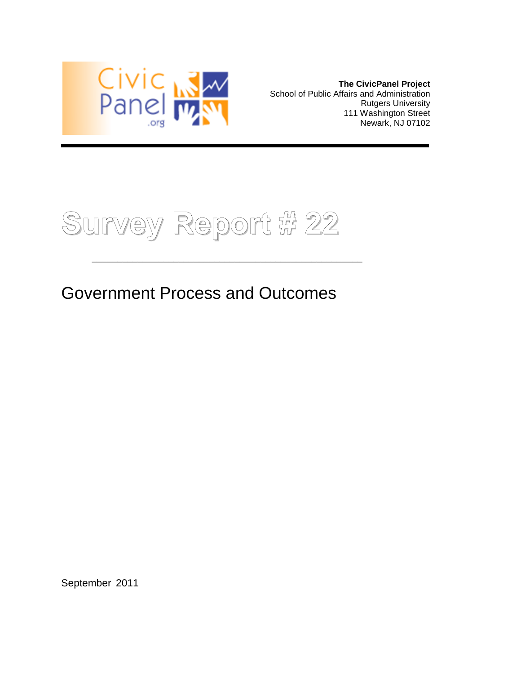

**The CivicPanel Project** School of Public Affairs and Administration Rutgers University 111 Washington Street Newark, NJ 07102



## Government Process and Outcomes

\_\_\_\_\_\_\_\_\_\_\_\_\_\_\_\_\_\_\_\_\_\_\_\_\_\_\_\_\_\_\_\_\_\_\_\_\_\_\_\_\_\_\_\_\_\_\_\_\_\_\_\_\_

September 2011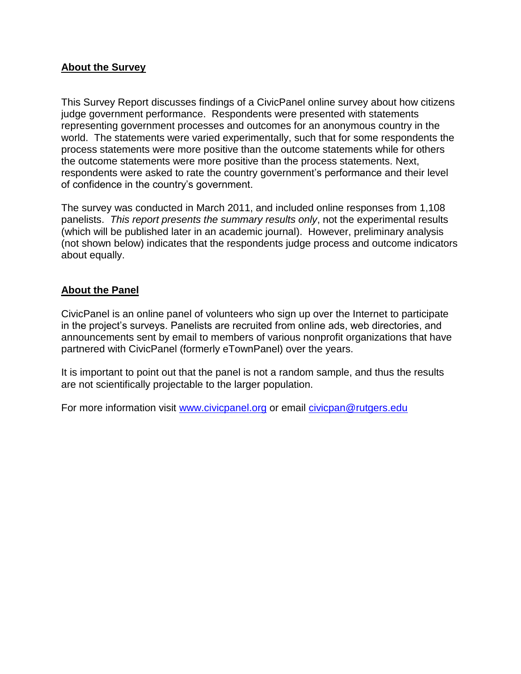#### **About the Survey**

This Survey Report discusses findings of a CivicPanel online survey about how citizens judge government performance. Respondents were presented with statements representing government processes and outcomes for an anonymous country in the world. The statements were varied experimentally, such that for some respondents the process statements were more positive than the outcome statements while for others the outcome statements were more positive than the process statements. Next, respondents were asked to rate the country government's performance and their level of confidence in the country's government.

The survey was conducted in March 2011, and included online responses from 1,108 panelists. *This report presents the summary results only*, not the experimental results (which will be published later in an academic journal). However, preliminary analysis (not shown below) indicates that the respondents judge process and outcome indicators about equally.

#### **About the Panel**

CivicPanel is an online panel of volunteers who sign up over the Internet to participate in the project's surveys. Panelists are recruited from online ads, web directories, and announcements sent by email to members of various nonprofit organizations that have partnered with CivicPanel (formerly eTownPanel) over the years.

It is important to point out that the panel is not a random sample, and thus the results are not scientifically projectable to the larger population.

For more information visit [www.civicpanel.org](http://www.civicpanel.org/) or email [civicpan@rutgers.edu](mailto:civicpan@rutgers.edu)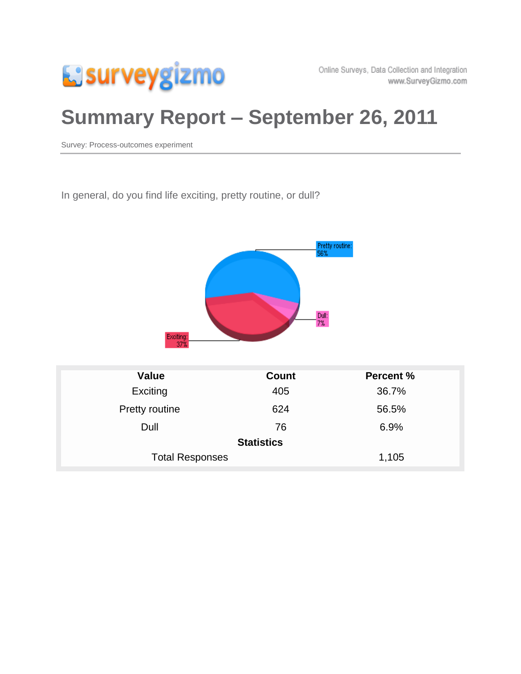

# **Summary Report – September 26, 2011**

Survey: Process-outcomes experiment

In general, do you find life exciting, pretty routine, or dull?



| <b>Value</b>           | <b>Count</b> | <b>Percent %</b> |  |
|------------------------|--------------|------------------|--|
| Exciting               | 405          | 36.7%            |  |
| Pretty routine         | 624          | 56.5%            |  |
| Dull                   | 76           | 6.9%             |  |
| <b>Statistics</b>      |              |                  |  |
| <b>Total Responses</b> |              | 1,105            |  |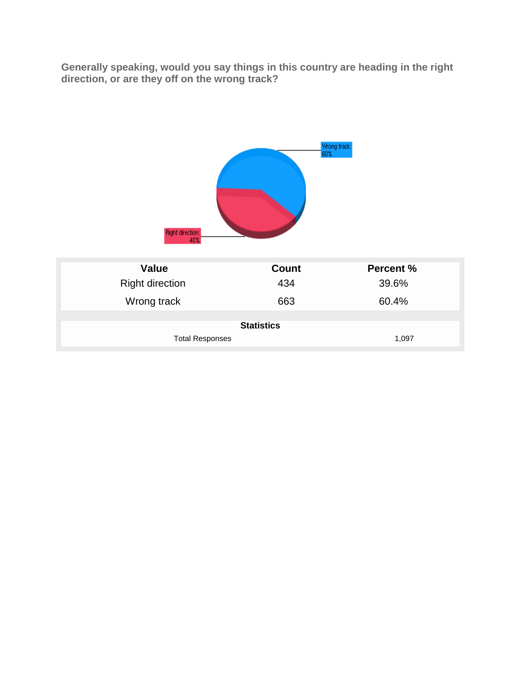**Generally speaking, would you say things in this country are heading in the right direction, or are they off on the wrong track?**



| <b>Statistics</b> |  |
|-------------------|--|
|                   |  |

| <b>Total Responses</b> | 1,097 |
|------------------------|-------|
|                        |       |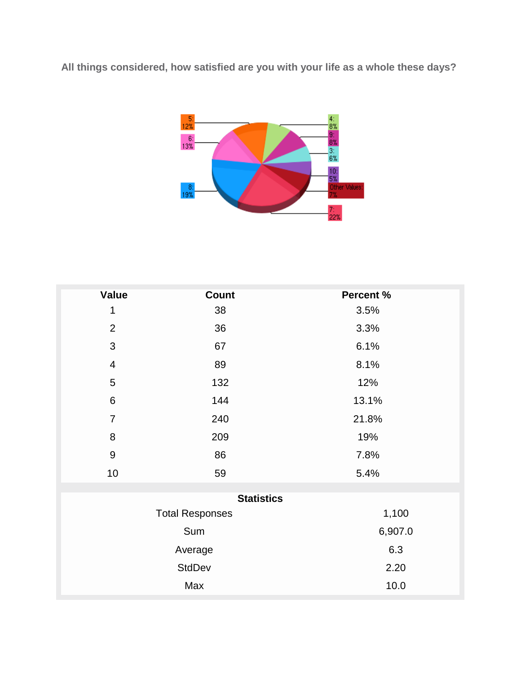**All things considered, how satisfied are you with your life as a whole these days?**



| <b>Value</b>            | <b>Count</b>           | Percent % |
|-------------------------|------------------------|-----------|
| $\mathbf 1$             | 38                     | 3.5%      |
| $\overline{2}$          | 36                     | 3.3%      |
| 3                       | 67                     | 6.1%      |
| $\overline{\mathbf{4}}$ | 89                     | 8.1%      |
| 5                       | 132                    | 12%       |
| $\,6$                   | 144                    | 13.1%     |
| $\overline{7}$          | 240                    | 21.8%     |
| 8                       | 209                    | 19%       |
| $\overline{9}$          | 86                     | 7.8%      |
| 10                      | 59                     | 5.4%      |
|                         | <b>Statistics</b>      |           |
|                         | <b>Total Responses</b> | 1,100     |
|                         |                        |           |
| Sum                     |                        | 6,907.0   |
| Average                 |                        | 6.3       |
| <b>StdDev</b>           |                        | 2.20      |
|                         | Max                    | 10.0      |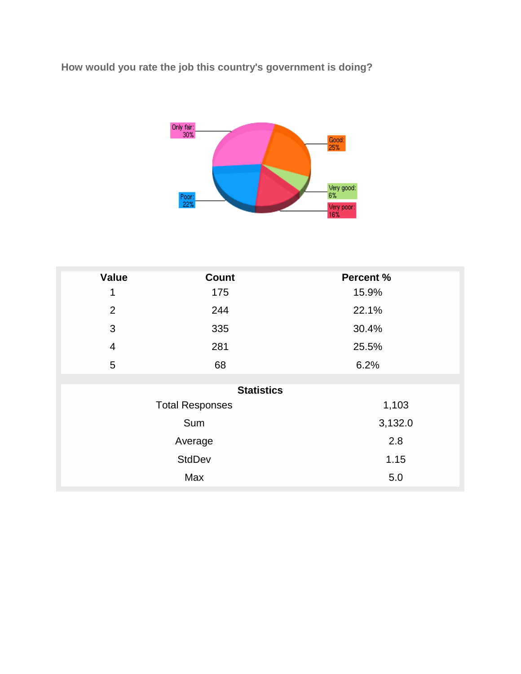**How would you rate the job this country's government is doing?**



| <b>Value</b>   | <b>Count</b>           | <b>Percent %</b> |
|----------------|------------------------|------------------|
| 1              | 175                    | 15.9%            |
| 2              | 244                    | 22.1%            |
| $\mathfrak{S}$ | 335                    | 30.4%            |
| $\overline{4}$ | 281                    | 25.5%            |
| 5              | 68                     | 6.2%             |
|                |                        |                  |
|                | <b>Statistics</b>      |                  |
|                | <b>Total Responses</b> | 1,103            |
|                | Sum                    | 3,132.0          |
| Average        |                        | 2.8              |
| <b>StdDev</b>  |                        | 1.15             |
|                | Max                    | 5.0              |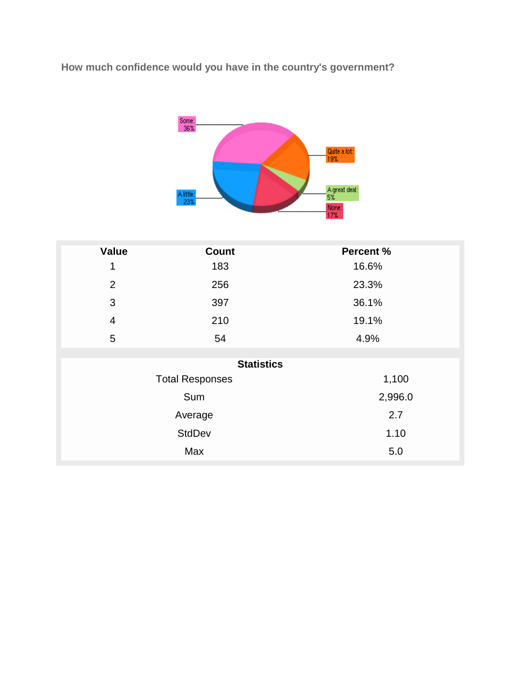**How much confidence would you have in the country's government?**



| <b>Value</b>   | <b>Count</b>           | Percent % |
|----------------|------------------------|-----------|
| 1              | 183                    | 16.6%     |
| $\overline{2}$ | 256                    | 23.3%     |
| 3              | 397                    | 36.1%     |
| $\overline{4}$ | 210                    | 19.1%     |
| 5              | 54                     | 4.9%      |
|                |                        |           |
|                | <b>Statistics</b>      |           |
|                | <b>Total Responses</b> | 1,100     |
| Sum            |                        | 2,996.0   |
| Average        |                        | 2.7       |
| <b>StdDev</b>  |                        | 1.10      |
| Max            |                        | 5.0       |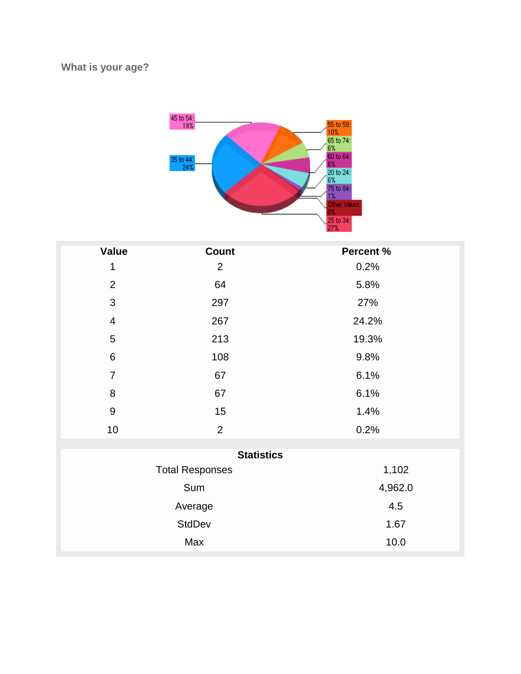#### **What is your age?**



| <b>Value</b>     | Count                  | Percent % |
|------------------|------------------------|-----------|
| 1                | $\overline{2}$         | 0.2%      |
| $\overline{2}$   | 64                     | 5.8%      |
| $\mathfrak{S}$   | 297                    | 27%       |
| $\overline{4}$   | 267                    | 24.2%     |
| $\overline{5}$   | 213                    | 19.3%     |
| $\,6\,$          | 108                    | 9.8%      |
| $\overline{7}$   | 67                     | 6.1%      |
| 8                | 67                     | 6.1%      |
| $\boldsymbol{9}$ | 15                     | 1.4%      |
| 10               | $\overline{2}$         | 0.2%      |
|                  | <b>Statistics</b>      |           |
|                  | <b>Total Responses</b> | 1,102     |
|                  |                        |           |
| Sum              |                        | 4,962.0   |
| Average          |                        | 4.5       |
|                  | <b>StdDev</b>          | 1.67      |
|                  | Max                    | 10.0      |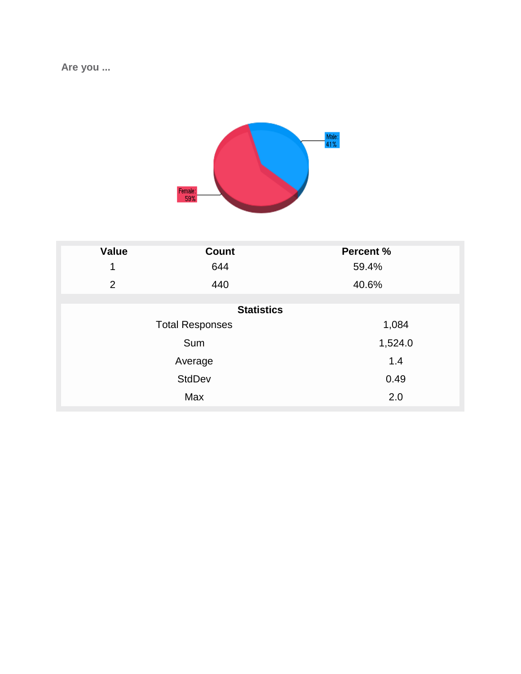**Are you ...**



| <b>Value</b>  | <b>Count</b>           | <b>Percent %</b> |
|---------------|------------------------|------------------|
| 1             | 644                    | 59.4%            |
| 2             | 440                    | 40.6%            |
|               |                        |                  |
|               | <b>Statistics</b>      |                  |
|               | <b>Total Responses</b> | 1,084            |
|               | Sum                    | 1,524.0          |
| Average       |                        | 1.4              |
| <b>StdDev</b> |                        | 0.49             |
| Max           |                        | 2.0              |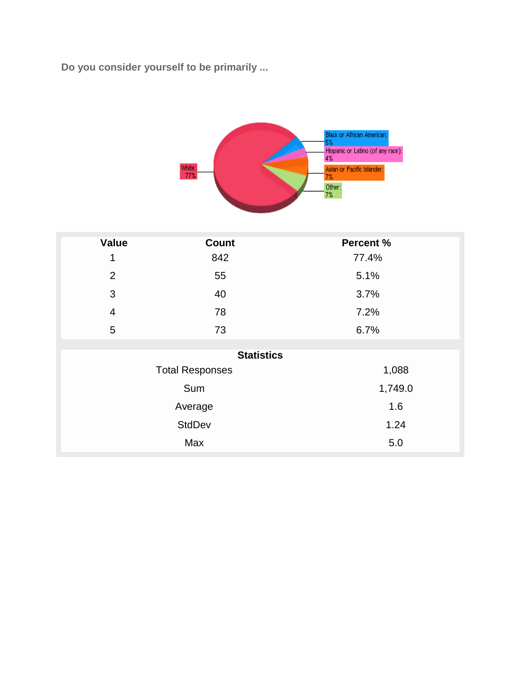**Do you consider yourself to be primarily ...**



| <b>Value</b>   | <b>Count</b>           | <b>Percent %</b> |
|----------------|------------------------|------------------|
| 1              | 842                    | 77.4%            |
| $\overline{2}$ | 55                     | 5.1%             |
| 3              | 40                     | 3.7%             |
| $\overline{4}$ | 78                     | 7.2%             |
| $\sqrt{5}$     | 73                     | 6.7%             |
|                |                        |                  |
|                | <b>Statistics</b>      |                  |
|                | <b>Total Responses</b> | 1,088            |
|                | Sum                    | 1,749.0          |
| Average        |                        | 1.6              |
| <b>StdDev</b>  |                        | 1.24             |
|                | Max                    | $5.0\,$          |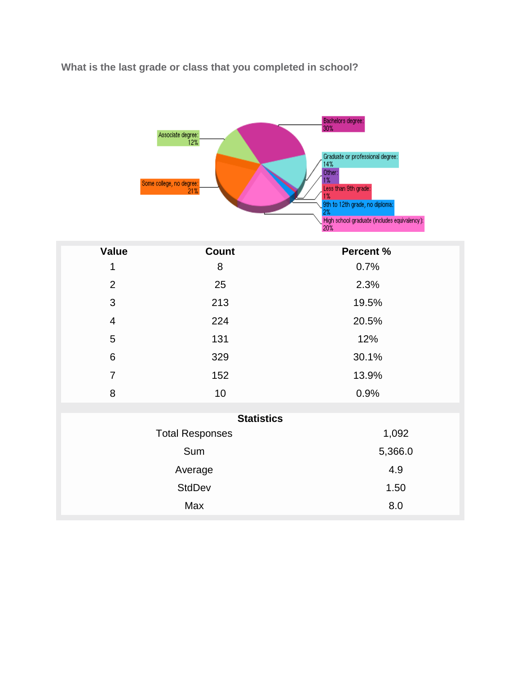## **What is the last grade or class that you completed in school?**

|                | Associate degree:<br>12%<br>Some college, no degree:<br>21% | Bachelors degree:<br>30%<br>Graduate or professional degree:<br>14%<br>Other:<br>1%<br>Less than 9th grade:<br>1%<br>9th to 12th grade, no diploma:<br>2%<br>High school graduate (includes equivalency):<br>20% |
|----------------|-------------------------------------------------------------|------------------------------------------------------------------------------------------------------------------------------------------------------------------------------------------------------------------|
| <b>Value</b>   | <b>Count</b>                                                | <b>Percent %</b>                                                                                                                                                                                                 |
| 1              | 8                                                           | 0.7%                                                                                                                                                                                                             |
| $\overline{2}$ | 25                                                          | 2.3%                                                                                                                                                                                                             |
| 3              | 213                                                         | 19.5%                                                                                                                                                                                                            |
| $\overline{4}$ | 224                                                         | 20.5%                                                                                                                                                                                                            |
| 5              | 131                                                         | 12%                                                                                                                                                                                                              |
| 6              | 329                                                         | 30.1%                                                                                                                                                                                                            |
| $\overline{7}$ | 152                                                         | 13.9%                                                                                                                                                                                                            |
| 8              | 10                                                          | 0.9%                                                                                                                                                                                                             |
|                | <b>Statistics</b>                                           |                                                                                                                                                                                                                  |
|                | <b>Total Responses</b>                                      | 1,092                                                                                                                                                                                                            |
| Sum            |                                                             | 5,366.0                                                                                                                                                                                                          |
| Average        |                                                             | 4.9                                                                                                                                                                                                              |
|                | <b>StdDev</b>                                               | 1.50                                                                                                                                                                                                             |
|                | Max                                                         | 8.0                                                                                                                                                                                                              |
|                |                                                             |                                                                                                                                                                                                                  |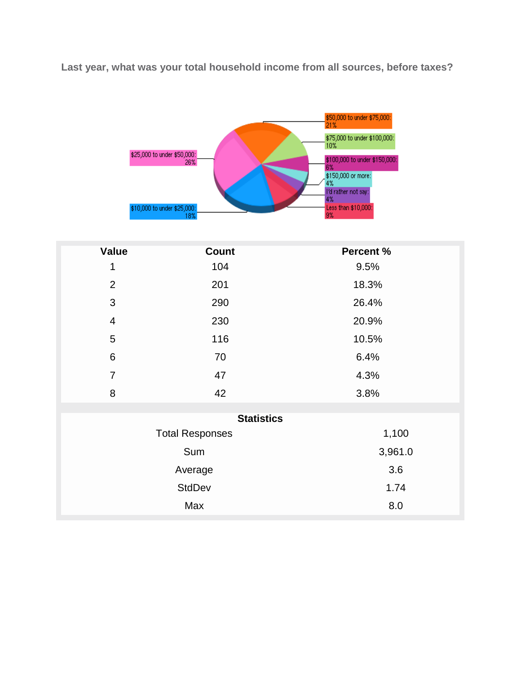**Last year, what was your total household income from all sources, before taxes?**



| <b>Value</b>            | <b>Count</b>           | Percent % |  |
|-------------------------|------------------------|-----------|--|
| 1                       | 104                    | 9.5%      |  |
| $\overline{2}$          | 201                    | 18.3%     |  |
| $\mathfrak{S}$          | 290                    | 26.4%     |  |
| $\overline{\mathbf{4}}$ | 230                    | 20.9%     |  |
| 5                       | 116                    | 10.5%     |  |
| 6                       | 70                     | 6.4%      |  |
| $\overline{7}$          | 47                     | 4.3%      |  |
| 8                       | 42                     | 3.8%      |  |
|                         | <b>Statistics</b>      |           |  |
|                         |                        | 1,100     |  |
|                         | <b>Total Responses</b> |           |  |
|                         | Sum                    | 3,961.0   |  |
|                         | Average                | 3.6       |  |
|                         | <b>StdDev</b>          | 1.74      |  |
|                         | Max                    | 8.0       |  |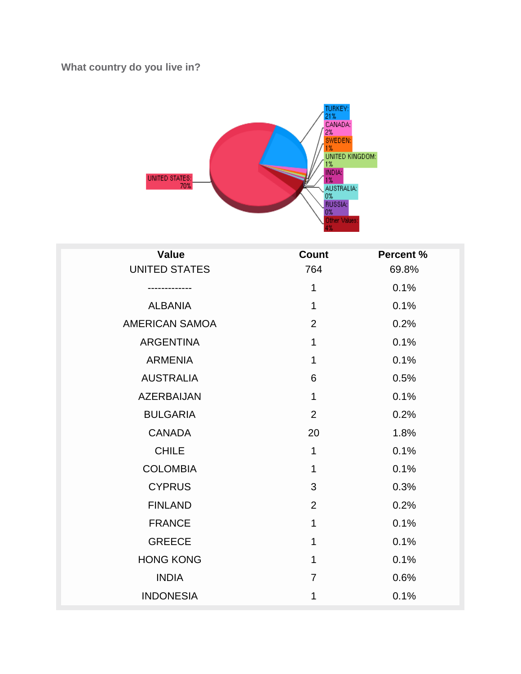## **What country do you live in?**



| <b>Value</b>          | Count          | <b>Percent %</b> |
|-----------------------|----------------|------------------|
| <b>UNITED STATES</b>  | 764            | 69.8%            |
|                       | 1              | 0.1%             |
| <b>ALBANIA</b>        | $\mathbf 1$    | 0.1%             |
| <b>AMERICAN SAMOA</b> | $\overline{2}$ | 0.2%             |
| <b>ARGENTINA</b>      | 1              | 0.1%             |
| <b>ARMENIA</b>        | 1              | 0.1%             |
| <b>AUSTRALIA</b>      | 6              | 0.5%             |
| <b>AZERBAIJAN</b>     | 1              | 0.1%             |
| <b>BULGARIA</b>       | $\overline{2}$ | 0.2%             |
| <b>CANADA</b>         | 20             | 1.8%             |
| <b>CHILE</b>          | 1              | 0.1%             |
| <b>COLOMBIA</b>       | 1              | 0.1%             |
| <b>CYPRUS</b>         | 3              | 0.3%             |
| <b>FINLAND</b>        | $\overline{2}$ | 0.2%             |
| <b>FRANCE</b>         | 1              | 0.1%             |
| <b>GREECE</b>         | 1              | 0.1%             |
| <b>HONG KONG</b>      | 1              | 0.1%             |
| <b>INDIA</b>          | $\overline{7}$ | 0.6%             |
| <b>INDONESIA</b>      | 1              | 0.1%             |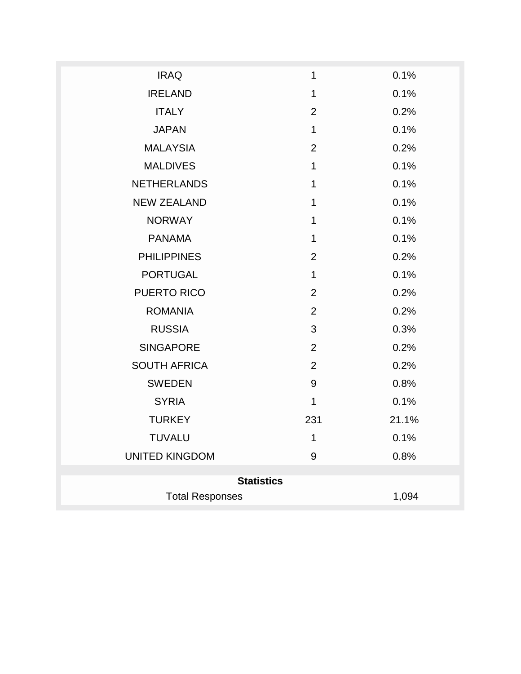| <b>IRAQ</b>            | 1              | 0.1%  |
|------------------------|----------------|-------|
| <b>IRELAND</b>         | 1              | 0.1%  |
| <b>ITALY</b>           | $\overline{2}$ | 0.2%  |
| <b>JAPAN</b>           | $\mathbf{1}$   | 0.1%  |
| <b>MALAYSIA</b>        | $\overline{2}$ | 0.2%  |
| <b>MALDIVES</b>        | 1              | 0.1%  |
| <b>NETHERLANDS</b>     | 1              | 0.1%  |
| <b>NEW ZEALAND</b>     | $\mathbf 1$    | 0.1%  |
| <b>NORWAY</b>          | 1              | 0.1%  |
| <b>PANAMA</b>          | $\mathbf{1}$   | 0.1%  |
| <b>PHILIPPINES</b>     | $\overline{2}$ | 0.2%  |
| <b>PORTUGAL</b>        | $\mathbf 1$    | 0.1%  |
| PUERTO RICO            | $\overline{2}$ | 0.2%  |
| <b>ROMANIA</b>         | $\overline{2}$ | 0.2%  |
| <b>RUSSIA</b>          | 3              | 0.3%  |
| <b>SINGAPORE</b>       | $\overline{2}$ | 0.2%  |
| <b>SOUTH AFRICA</b>    | $\overline{2}$ | 0.2%  |
| <b>SWEDEN</b>          | $9\,$          | 0.8%  |
| <b>SYRIA</b>           | $\mathbf{1}$   | 0.1%  |
| <b>TURKEY</b>          | 231            | 21.1% |
| <b>TUVALU</b>          | $\mathbf 1$    | 0.1%  |
| <b>UNITED KINGDOM</b>  | $9\,$          | 0.8%  |
| <b>Statistics</b>      |                |       |
| <b>Total Responses</b> |                | 1,094 |
|                        |                |       |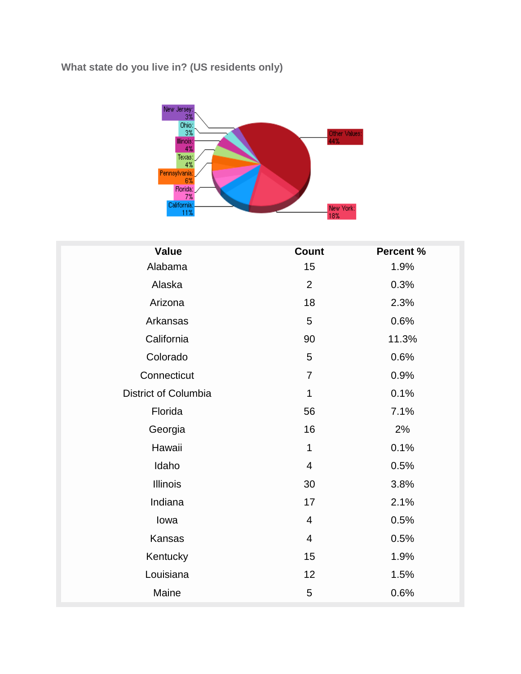#### **What state do you live in? (US residents only)**



| <b>Value</b>         | <b>Count</b>            | Percent % |
|----------------------|-------------------------|-----------|
| Alabama              | 15                      | 1.9%      |
| Alaska               | $\overline{2}$          | 0.3%      |
| Arizona              | 18                      | 2.3%      |
| Arkansas             | $\overline{5}$          | 0.6%      |
| California           | 90                      | 11.3%     |
| Colorado             | 5                       | 0.6%      |
| Connecticut          | $\overline{7}$          | 0.9%      |
| District of Columbia | $\mathbf 1$             | 0.1%      |
| Florida              | 56                      | 7.1%      |
| Georgia              | 16                      | 2%        |
| Hawaii               | $\mathbf 1$             | 0.1%      |
| Idaho                | $\overline{\mathbf{4}}$ | 0.5%      |
| <b>Illinois</b>      | 30                      | 3.8%      |
| Indiana              | 17                      | 2.1%      |
| lowa                 | $\overline{4}$          | 0.5%      |
| Kansas               | 4                       | 0.5%      |
| Kentucky             | 15                      | 1.9%      |
| Louisiana            | 12                      | 1.5%      |
| Maine                | 5                       | 0.6%      |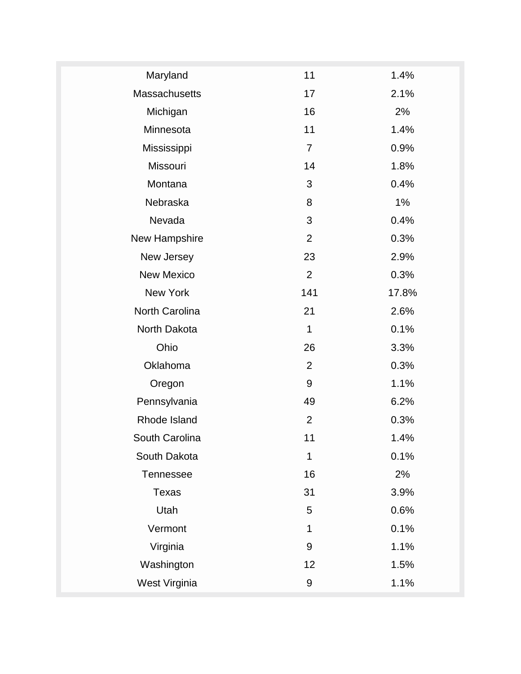| Maryland             | 11               | 1.4%  |
|----------------------|------------------|-------|
| <b>Massachusetts</b> | 17               | 2.1%  |
| Michigan             | 16               | 2%    |
| Minnesota            | 11               | 1.4%  |
| Mississippi          | $\overline{7}$   | 0.9%  |
| Missouri             | 14               | 1.8%  |
| Montana              | 3                | 0.4%  |
| Nebraska             | 8                | 1%    |
| Nevada               | 3                | 0.4%  |
| New Hampshire        | $\overline{2}$   | 0.3%  |
| New Jersey           | 23               | 2.9%  |
| <b>New Mexico</b>    | $\overline{2}$   | 0.3%  |
| New York             | 141              | 17.8% |
| North Carolina       | 21               | 2.6%  |
| North Dakota         | $\mathbf{1}$     | 0.1%  |
| Ohio                 | 26               | 3.3%  |
| Oklahoma             | $\overline{2}$   | 0.3%  |
| Oregon               | 9                | 1.1%  |
| Pennsylvania         | 49               | 6.2%  |
| Rhode Island         | $\overline{2}$   | 0.3%  |
| South Carolina       | 11               | 1.4%  |
| South Dakota         | 1                | 0.1%  |
| <b>Tennessee</b>     | 16               | 2%    |
| Texas                | 31               | 3.9%  |
| Utah                 | 5                | 0.6%  |
| Vermont              | 1                | 0.1%  |
| Virginia             | $9\,$            | 1.1%  |
| Washington           | 12               | 1.5%  |
| West Virginia        | $\boldsymbol{9}$ | 1.1%  |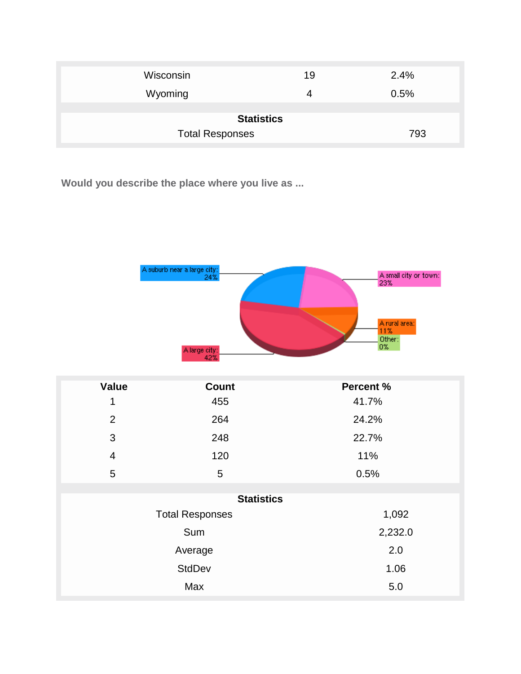| Wisconsin              | 19 | 2.4% |
|------------------------|----|------|
| Wyoming                | 4  | 0.5% |
| <b>Statistics</b>      |    |      |
| <b>Total Responses</b> |    | 793  |

**Would you describe the place where you live as ...**



| <b>Value</b>   | <b>Count</b>           | <b>Percent %</b> |
|----------------|------------------------|------------------|
| 1              | 455                    | 41.7%            |
| $\overline{2}$ | 264                    | 24.2%            |
| 3              | 248                    | 22.7%            |
| $\overline{4}$ | 120                    | 11%              |
| 5              | 5                      | 0.5%             |
|                |                        |                  |
|                | <b>Statistics</b>      |                  |
|                | <b>Total Responses</b> | 1,092            |
|                | Sum                    | 2,232.0          |
|                | Average                | 2.0              |
|                | <b>StdDev</b>          | 1.06             |
|                | Max                    | 5.0              |